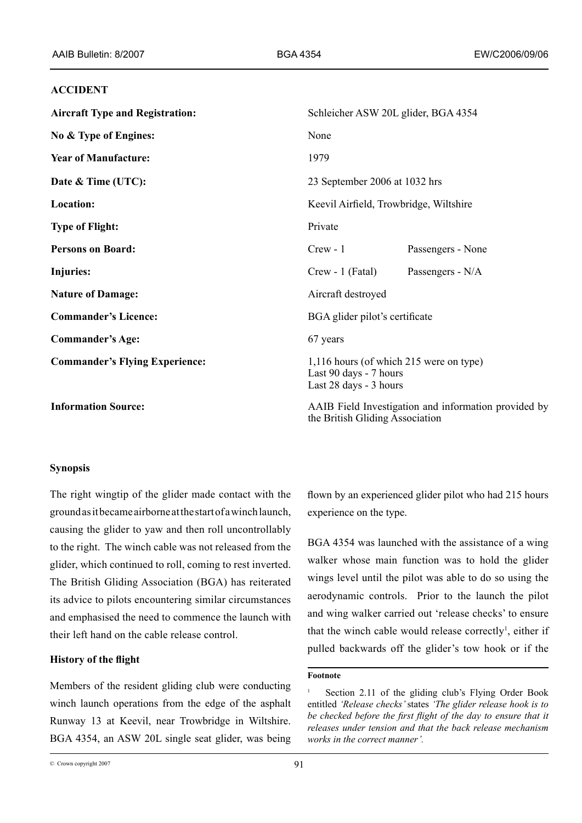## **ACCIDENT**

| <b>Aircraft Type and Registration:</b> | Schleicher ASW 20L glider, BGA 4354                                                         |                   |
|----------------------------------------|---------------------------------------------------------------------------------------------|-------------------|
| No & Type of Engines:                  | None                                                                                        |                   |
| <b>Year of Manufacture:</b>            | 1979                                                                                        |                   |
| Date & Time (UTC):                     | 23 September 2006 at 1032 hrs                                                               |                   |
| Location:                              | Keevil Airfield, Trowbridge, Wiltshire                                                      |                   |
| <b>Type of Flight:</b>                 | Private                                                                                     |                   |
| <b>Persons on Board:</b>               | $Crew - 1$                                                                                  | Passengers - None |
| <b>Injuries:</b>                       | $Crew - 1$ (Fatal)                                                                          | Passengers - N/A  |
| <b>Nature of Damage:</b>               | Aircraft destroyed                                                                          |                   |
| <b>Commander's Licence:</b>            | BGA glider pilot's certificate                                                              |                   |
| <b>Commander's Age:</b>                | 67 years                                                                                    |                   |
| <b>Commander's Flying Experience:</b>  | 1,116 hours (of which 215 were on type)<br>Last 90 days - 7 hours<br>Last 28 days - 3 hours |                   |
| <b>Information Source:</b>             | AAIB Field Investigation and information provided by                                        |                   |

**Synopsis**

The right wingtip of the glider made contact with the ground as it became airborne at the start of a winch launch, causing the glider to yaw and then roll uncontrollably to the right. The winch cable was not released from the glider, which continued to roll, coming to rest inverted. The British Gliding Association (BGA) has reiterated its advice to pilots encountering similar circumstances and emphasised the need to commence the launch with their left hand on the cable release control.

# **History of the flight**

Members of the resident gliding club were conducting winch launch operations from the edge of the asphalt Runway 13 at Keevil, near Trowbridge in Wiltshire. BGA 4354, an ASW 20L single seat glider, was being flown by an experienced glider pilot who had 215 hours experience on the type.

the British Gliding Association

BGA 4354 was launched with the assistance of a wing walker whose main function was to hold the glider wings level until the pilot was able to do so using the aerodynamic controls. Prior to the launch the pilot and wing walker carried out 'release checks' to ensure that the winch cable would release correctly , either if pulled backwards off the glider's tow hook or if the

#### **Footnote**

Section 2.11 of the gliding club's Flying Order Book entitled *'Release checks'* states *'The glider release hook is to*  be checked before the first flight of the day to ensure that it *releases under tension and that the back release mechanism works in the correct manner'.*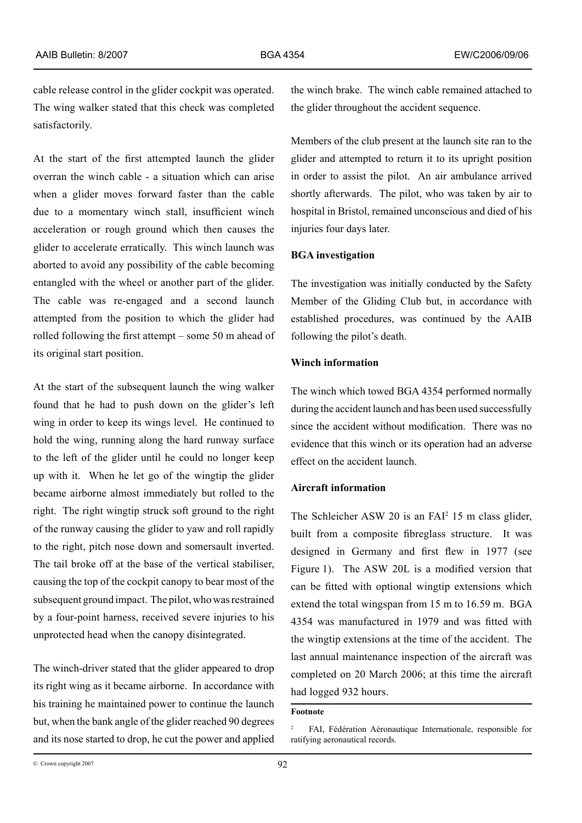cable release control in the glider cockpit was operated. The wing walker stated that this check was completed satisfactorily.

At the start of the first attempted launch the glider overran the winch cable - a situation which can arise when a glider moves forward faster than the cable due to a momentary winch stall, insufficient winch acceleration or rough ground which then causes the glider to accelerate erratically. This winch launch was aborted to avoid any possibility of the cable becoming entangled with the wheel or another part of the glider. The cable was re-engaged and a second launch attempted from the position to which the glider had rolled following the first attempt – some 50 m ahead of its original start position.

At the start of the subsequent launch the wing walker found that he had to push down on the glider's left wing in order to keep its wings level. He continued to hold the wing, running along the hard runway surface to the left of the glider until he could no longer keep up with it. When he let go of the wingtip the glider became airborne almost immediately but rolled to the right. The right wingtip struck soft ground to the right of the runway causing the glider to yaw and roll rapidly to the right, pitch nose down and somersault inverted. The tail broke off at the base of the vertical stabiliser, causing the top of the cockpit canopy to bear most of the subsequent ground impact. The pilot, who was restrained by a four-point harness, received severe injuries to his unprotected head when the canopy disintegrated.

The winch-driver stated that the glider appeared to drop its right wing as it became airborne. In accordance with his training he maintained power to continue the launch but, when the bank angle of the glider reached 90 degrees and its nose started to drop, he cut the power and applied the winch brake. The winch cable remained attached to the glider throughout the accident sequence.

Members of the club present at the launch site ran to the glider and attempted to return it to its upright position in order to assist the pilot. An air ambulance arrived shortly afterwards. The pilot, who was taken by air to hospital in Bristol, remained unconscious and died of his injuries four days later.

## **BGA investigation**

The investigation was initially conducted by the Safety Member of the Gliding Club but, in accordance with established procedures, was continued by the AAIB following the pilot's death.

# **Winch information**

The winch which towed BGA 4354 performed normally during the accident launch and has been used successfully since the accident without modification. There was no evidence that this winch or its operation had an adverse effect on the accident launch.

## **Aircraft information**

The Schleicher ASW 20 is an  $FAI<sup>2</sup> 15$  m class glider, built from a composite fibreglass structure. It was designed in Germany and first flew in 1977 (see Figure 1). The ASW 20L is a modified version that can be fitted with optional wingtip extensions which extend the total wingspan from 15 m to 16.59 m. BGA 4354 was manufactured in 1979 and was fitted with the wingtip extensions at the time of the accident. The last annual maintenance inspection of the aircraft was completed on 20 March 2006; at this time the aircraft had logged 932 hours.

# **Footnote**

<sup>2</sup> FAI, Fédération Aéronautique Internationale, responsible for ratifying aeronautical records.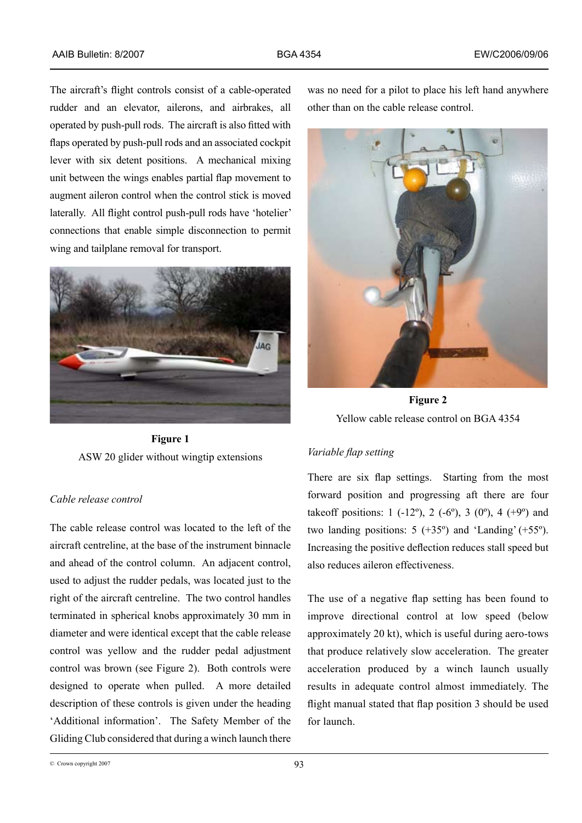The aircraft's flight controls consist of a cable-operated rudder and an elevator, ailerons, and airbrakes, all operated by push-pull rods. The aircraft is also fitted with flaps operated by push-pull rods and an associated cockpit lever with six detent positions. A mechanical mixing unit between the wings enables partial flap movement to augment aileron control when the control stick is moved laterally. All flight control push-pull rods have 'hotelier' connections that enable simple disconnection to permit wing and tailplane removal for transport.



**Figure 1**  ASW 20 glider without wingtip extensions

# *Cable release control*

The cable release control was located to the left of the aircraft centreline, at the base of the instrument binnacle and ahead of the control column. An adjacent control, used to adjust the rudder pedals, was located just to the right of the aircraft centreline. The two control handles terminated in spherical knobs approximately 30 mm in diameter and were identical except that the cable release control was yellow and the rudder pedal adjustment control was brown (see Figure 2). Both controls were designed to operate when pulled. A more detailed description of these controls is given under the heading 'Additional information'. The Safety Member of the Gliding Club considered that during a winch launch there

was no need for a pilot to place his left hand anywhere other than on the cable release control.



**Figure 2**  Yellow cable release control on BGA 4354

## *Variable flap setting*

There are six flap settings. Starting from the most forward position and progressing aft there are four takeoff positions:  $1 (-12^{\circ})$ ,  $2 (-6^{\circ})$ ,  $3 (0^{\circ})$ ,  $4 (+9^{\circ})$  and two landing positions:  $5 (+35^{\circ})$  and 'Landing'  $(+55^{\circ})$ . Increasing the positive deflection reduces stall speed but also reduces aileron effectiveness.

The use of a negative flap setting has been found to improve directional control at low speed (below approximately 20 kt), which is useful during aero-tows that produce relatively slow acceleration. The greater acceleration produced by a winch launch usually results in adequate control almost immediately. The flight manual stated that flap position 3 should be used for launch.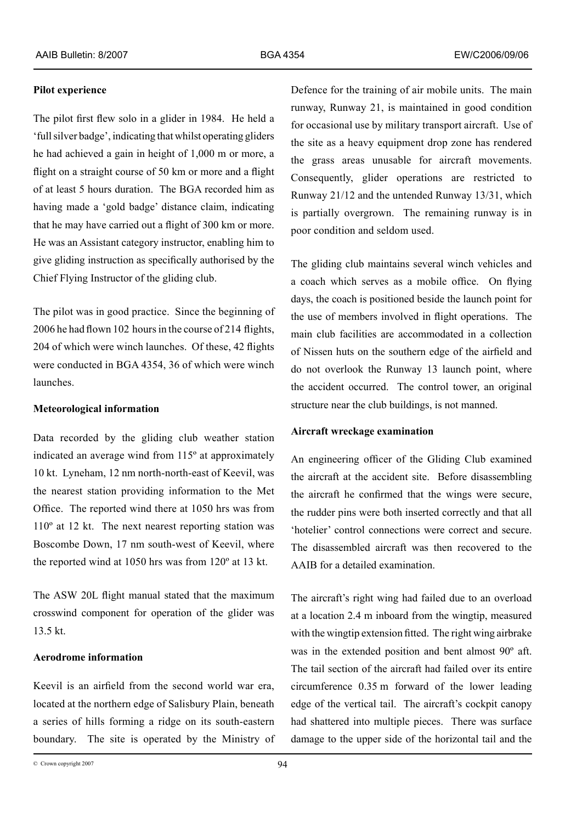## **Pilot experience**

The pilot first flew solo in a glider in 1984. He held a 'full silver badge', indicating that whilst operating gliders he had achieved a gain in height of 1,000 m or more, a flight on a straight course of 50 km or more and a flight of at least 5 hours duration. The BGA recorded him as having made a 'gold badge' distance claim, indicating that he may have carried out a flight of 300 km or more. He was an Assistant category instructor, enabling him to give gliding instruction as specifically authorised by the Chief Flying Instructor of the gliding club.

The pilot was in good practice. Since the beginning of 2006 he had flown 102 hours in the course of 214 flights, 204 of which were winch launches. Of these, 42 flights were conducted in BGA 4354, 36 of which were winch launches.

## **Meteorological information**

Data recorded by the gliding club weather station indicated an average wind from 115º at approximately 10 kt. Lyneham, 12 nm north-north-east of Keevil, was the nearest station providing information to the Met Office. The reported wind there at 1050 hrs was from 110º at 12 kt. The next nearest reporting station was Boscombe Down, 17 nm south-west of Keevil, where the reported wind at 1050 hrs was from 120º at 13 kt.

The ASW 20L flight manual stated that the maximum crosswind component for operation of the glider was 13.5 kt.

# **Aerodrome information**

Keevil is an airfield from the second world war era, located at the northern edge of Salisbury Plain, beneath a series of hills forming a ridge on its south-eastern boundary. The site is operated by the Ministry of

Defence for the training of air mobile units. The main runway, Runway 21, is maintained in good condition for occasional use by military transport aircraft. Use of the site as a heavy equipment drop zone has rendered the grass areas unusable for aircraft movements. Consequently, glider operations are restricted to Runway 21/12 and the untended Runway 13/31, which is partially overgrown. The remaining runway is in poor condition and seldom used.

The gliding club maintains several winch vehicles and a coach which serves as a mobile office. On flying days, the coach is positioned beside the launch point for the use of members involved in flight operations. The main club facilities are accommodated in a collection of Nissen huts on the southern edge of the airfield and do not overlook the Runway 13 launch point, where the accident occurred. The control tower, an original structure near the club buildings, is not manned.

## **Aircraft wreckage examination**

An engineering officer of the Gliding Club examined the aircraft at the accident site. Before disassembling the aircraft he confirmed that the wings were secure, the rudder pins were both inserted correctly and that all 'hotelier' control connections were correct and secure. The disassembled aircraft was then recovered to the AAIB for a detailed examination.

The aircraft's right wing had failed due to an overload at a location 2.4 m inboard from the wingtip, measured with the wingtip extension fitted. The right wing airbrake was in the extended position and bent almost 90º aft. The tail section of the aircraft had failed over its entire circumference 0.35 m forward of the lower leading edge of the vertical tail. The aircraft's cockpit canopy had shattered into multiple pieces. There was surface damage to the upper side of the horizontal tail and the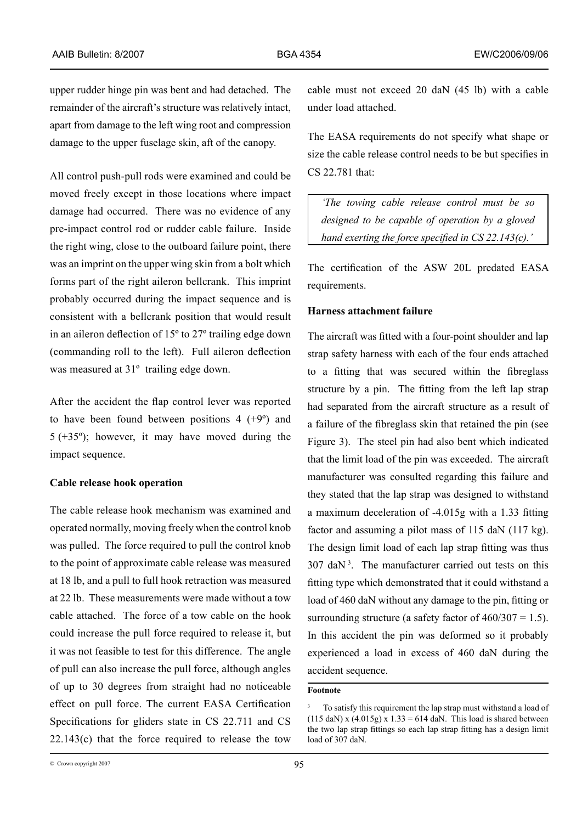upper rudder hinge pin was bent and had detached. The remainder of the aircraft's structure was relatively intact, apart from damage to the left wing root and compression damage to the upper fuselage skin, aft of the canopy.

All control push-pull rods were examined and could be moved freely except in those locations where impact damage had occurred. There was no evidence of any pre-impact control rod or rudder cable failure. Inside the right wing, close to the outboard failure point, there was an imprint on the upper wing skin from a bolt which forms part of the right aileron bellcrank. This imprint probably occurred during the impact sequence and is consistent with a bellcrank position that would result in an aileron deflection of 15º to 27º trailing edge down (commanding roll to the left). Full aileron deflection was measured at 31<sup>°</sup> trailing edge down.

After the accident the flap control lever was reported to have been found between positions  $4 (+9^{\circ})$  and 5 (+35º); however, it may have moved during the impact sequence.

#### **Cable release hook operation**

The cable release hook mechanism was examined and operated normally, moving freely when the control knob was pulled. The force required to pull the control knob to the point of approximate cable release was measured at 18 lb, and a pull to full hook retraction was measured at 22 lb. These measurements were made without a tow cable attached. The force of a tow cable on the hook could increase the pull force required to release it, but it was not feasible to test for this difference. The angle of pull can also increase the pull force, although angles of up to 30 degrees from straight had no noticeable effect on pull force. The current EASA Certification Specifications for gliders state in CS 22.711 and CS  $22.143(c)$  that the force required to release the tow cable must not exceed 20 daN (45 lb) with a cable under load attached.

The EASA requirements do not specify what shape or size the cable release control needs to be but specifies in CS 22.781 that:

*'The towing cable release control must be so designed to be capable of operation by a gloved hand exerting the force specified in CS 22.143(c).'* 

The certification of the ASW 20L predated EASA requirements.

## **Harness attachment failure**

The aircraft was fitted with a four-point shoulder and lap strap safety harness with each of the four ends attached to a fitting that was secured within the fibreglass structure by a pin. The fitting from the left lap strap had separated from the aircraft structure as a result of a failure of the fibreglass skin that retained the pin (see Figure 3). The steel pin had also bent which indicated that the limit load of the pin was exceeded. The aircraft manufacturer was consulted regarding this failure and they stated that the lap strap was designed to withstand a maximum deceleration of -4.015g with a 1.33 fitting factor and assuming a pilot mass of 115 daN (117 kg). The design limit load of each lap strap fitting was thus  $307$  daN<sup>3</sup>. The manufacturer carried out tests on this fitting type which demonstrated that it could withstand a load of 460 daN without any damage to the pin, fitting or surrounding structure (a safety factor of  $460/307 = 1.5$ ). In this accident the pin was deformed so it probably experienced a load in excess of 460 daN during the accident sequence.

#### **Footnote**

To satisfy this requirement the lap strap must withstand a load of  $(115$  daN) x  $(4.015g)$  x  $1.33 = 614$  daN. This load is shared between the two lap strap fittings so each lap strap fitting has a design limit load of 307 daN.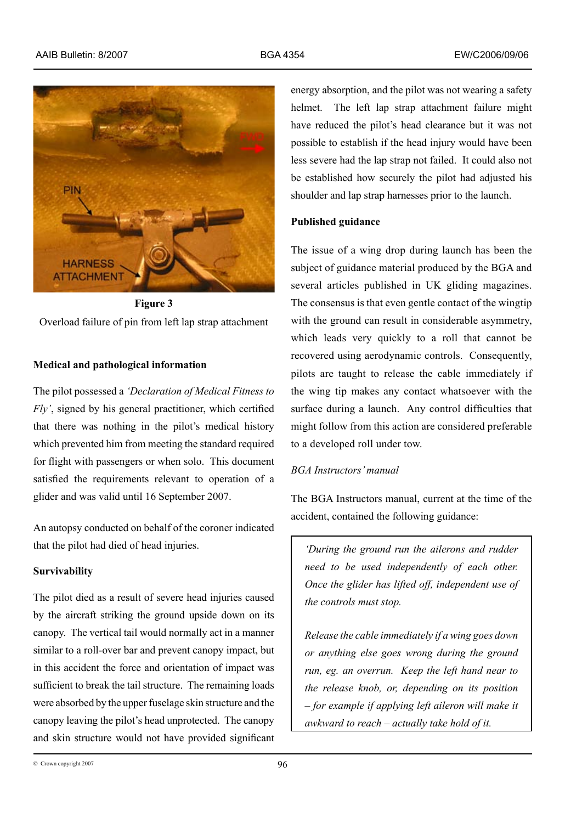

**Figure 3**  Overload failure of pin from left lap strap attachment

# **Medical and pathological information**

The pilot possessed a *'Declaration of Medical Fitness to Fly'*, signed by his general practitioner, which certified that there was nothing in the pilot's medical history which prevented him from meeting the standard required for flight with passengers or when solo. This document satisfied the requirements relevant to operation of a glider and was valid until 16 September 2007.

An autopsy conducted on behalf of the coroner indicated that the pilot had died of head injuries.

## **Survivability**

The pilot died as a result of severe head injuries caused by the aircraft striking the ground upside down on its canopy. The vertical tail would normally act in a manner similar to a roll-over bar and prevent canopy impact, but in this accident the force and orientation of impact was sufficient to break the tail structure. The remaining loads were absorbed by the upper fuselage skin structure and the canopy leaving the pilot's head unprotected. The canopy and skin structure would not have provided significant

energy absorption, and the pilot was not wearing a safety helmet. The left lap strap attachment failure might have reduced the pilot's head clearance but it was not possible to establish if the head injury would have been less severe had the lap strap not failed. It could also not be established how securely the pilot had adjusted his shoulder and lap strap harnesses prior to the launch.

# **Published guidance**

The issue of a wing drop during launch has been the subject of guidance material produced by the BGA and several articles published in UK gliding magazines. The consensus is that even gentle contact of the wingtip with the ground can result in considerable asymmetry, which leads very quickly to a roll that cannot be recovered using aerodynamic controls. Consequently, pilots are taught to release the cable immediately if the wing tip makes any contact whatsoever with the surface during a launch. Any control difficulties that might follow from this action are considered preferable to a developed roll under tow.

# *BGA Instructors' manual*

The BGA Instructors manual, current at the time of the accident, contained the following guidance:

*'During the ground run the ailerons and rudder need to be used independently of each other. Once the glider has lifted off, independent use of the controls must stop.*

*Release the cable immediately if a wing goes down or anything else goes wrong during the ground run, eg. an overrun. Keep the left hand near to the release knob, or, depending on its position – for example if applying left aileron will make it awkward to reach – actually take hold of it.*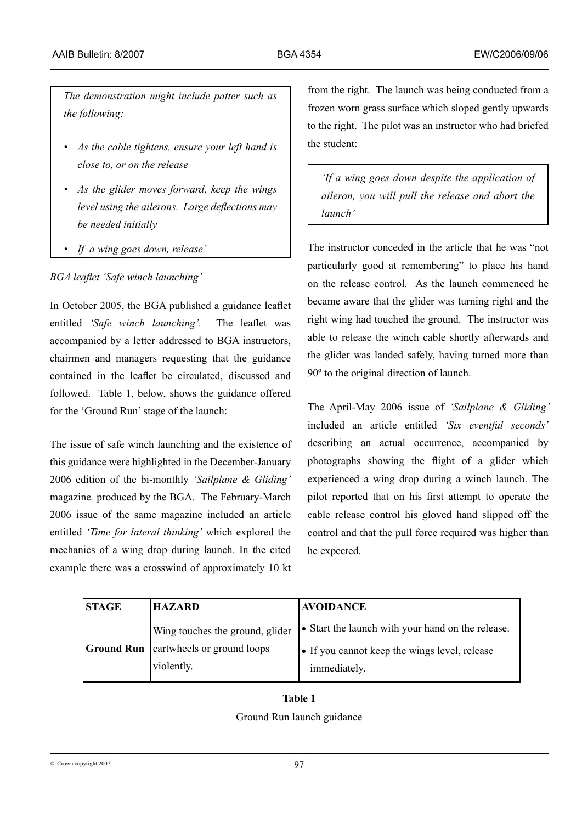*The demonstration might include patter such as the following:*

- *• As the cable tightens, ensure your left hand is close to, or on the release*
- *• As the glider moves forward, keep the wings level using the ailerons. Large deflections may be needed initially*
- *• If a wing goes down, release'*

# *BGA leaflet 'Safe winch launching'*

In October 2005, the BGA published a guidance leaflet entitled *'Safe winch launching'.* The leaflet was accompanied by a letter addressed to BGA instructors, chairmen and managers requesting that the guidance contained in the leaflet be circulated, discussed and followed. Table 1, below, shows the guidance offered for the 'Ground Run' stage of the launch:

The issue of safe winch launching and the existence of this guidance were highlighted in the December-January 2006 edition of the bi-monthly *'Sailplane & Gliding'* magazine*,* produced by the BGA. The February-March 2006 issue of the same magazine included an article entitled *'Time for lateral thinking'* which explored the mechanics of a wing drop during launch. In the cited example there was a crosswind of approximately 10 kt

from the right. The launch was being conducted from a frozen worn grass surface which sloped gently upwards to the right. The pilot was an instructor who had briefed the student:

*'If a wing goes down despite the application of aileron, you will pull the release and abort the launch'*

The instructor conceded in the article that he was "not particularly good at remembering" to place his hand on the release control. As the launch commenced he became aware that the glider was turning right and the right wing had touched the ground. The instructor was able to release the winch cable shortly afterwards and the glider was landed safely, having turned more than 90º to the original direction of launch.

The April-May 2006 issue of *'Sailplane & Gliding'*  included an article entitled *'Six eventful seconds'* describing an actual occurrence, accompanied by photographs showing the flight of a glider which experienced a wing drop during a winch launch. The pilot reported that on his first attempt to operate the cable release control his gloved hand slipped off the control and that the pull force required was higher than he expected.

| <b>STAGE</b>      | <b>HAZARD</b>                                                               | <b>AVOIDANCE</b>                                                                                                   |  |
|-------------------|-----------------------------------------------------------------------------|--------------------------------------------------------------------------------------------------------------------|--|
| <b>Ground Run</b> | Wing touches the ground, glider<br>cartwheels or ground loops<br>violently. | • Start the launch with your hand on the release.<br>• If you cannot keep the wings level, release<br>immediately. |  |

# **Table 1** Ground Run launch guidance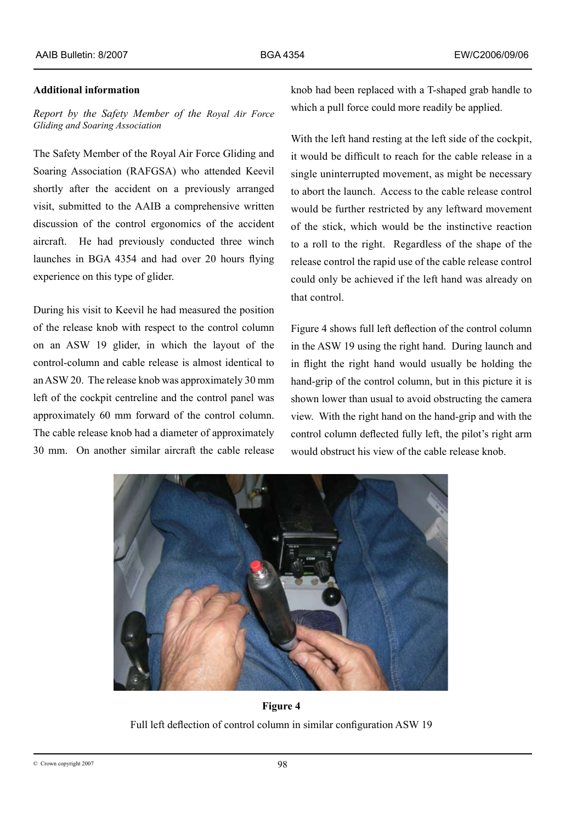# **Additional information**

*Report by the Safety Member of the Royal Air Force Gliding and Soaring Association* 

The Safety Member of the Royal Air Force Gliding and Soaring Association (RAFGSA) who attended Keevil shortly after the accident on a previously arranged visit, submitted to the AAIB a comprehensive written discussion of the control ergonomics of the accident aircraft. He had previously conducted three winch launches in BGA 4354 and had over 20 hours flying experience on this type of glider.

During his visit to Keevil he had measured the position of the release knob with respect to the control column on an ASW 19 glider, in which the layout of the control‑column and cable release is almost identical to an ASW 20. The release knob was approximately 30 mm left of the cockpit centreline and the control panel was approximately 60 mm forward of the control column. The cable release knob had a diameter of approximately 30 mm. On another similar aircraft the cable release knob had been replaced with a T-shaped grab handle to which a pull force could more readily be applied.

With the left hand resting at the left side of the cockpit, it would be difficult to reach for the cable release in a single uninterrupted movement, as might be necessary to abort the launch. Access to the cable release control would be further restricted by any leftward movement of the stick, which would be the instinctive reaction to a roll to the right. Regardless of the shape of the release control the rapid use of the cable release control could only be achieved if the left hand was already on that control.

Figure 4 shows full left deflection of the control column in the ASW 19 using the right hand. During launch and in flight the right hand would usually be holding the hand-grip of the control column, but in this picture it is shown lower than usual to avoid obstructing the camera view. With the right hand on the hand-grip and with the control column deflected fully left, the pilot's right arm would obstruct his view of the cable release knob.



**Figure 4** Full left deflection of control column in similar configuration ASW 19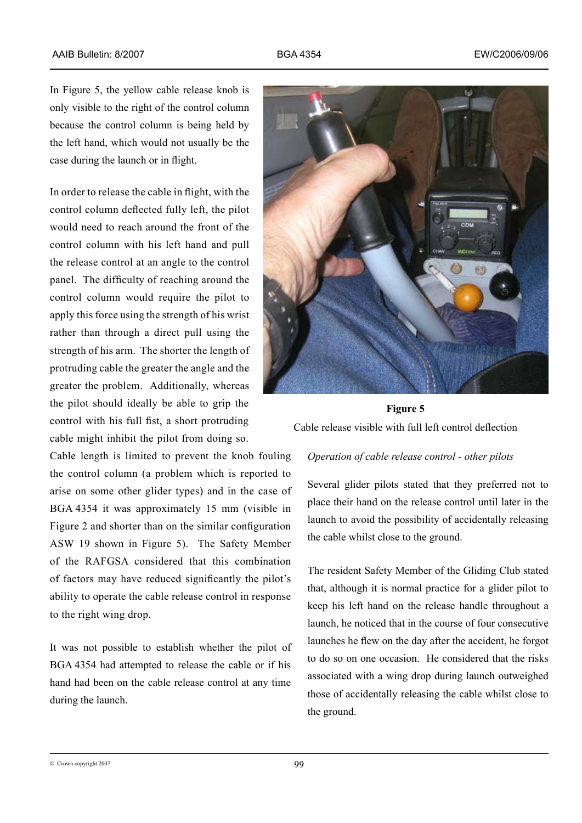In Figure 5, the yellow cable release knob is only visible to the right of the control column because the control column is being held by the left hand, which would not usually be the case during the launch or in flight.

In order to release the cable in flight, with the control column deflected fully left, the pilot would need to reach around the front of the control column with his left hand and pull the release control at an angle to the control panel. The difficulty of reaching around the control column would require the pilot to apply this force using the strength of his wrist rather than through a direct pull using the strength of his arm. The shorter the length of protruding cable the greater the angle and the greater the problem. Additionally, whereas the pilot should ideally be able to grip the control with his full fist, a short protruding cable might inhibit the pilot from doing so.

Cable length is limited to prevent the knob fouling the control column (a problem which is reported to arise on some other glider types) and in the case of BGA 4354 it was approximately 15 mm (visible in Figure 2 and shorter than on the similar configuration ASW 19 shown in Figure 5). The Safety Member of the RAFGSA considered that this combination of factors may have reduced significantly the pilot's ability to operate the cable release control in response to the right wing drop.

It was not possible to establish whether the pilot of BGA 4354 had attempted to release the cable or if his hand had been on the cable release control at any time during the launch.



# **Figure 5**

Cable release visible with full left control deflection

# *Operation of cable release control - other pilots*

Several glider pilots stated that they preferred not to place their hand on the release control until later in the launch to avoid the possibility of accidentally releasing the cable whilst close to the ground.

The resident Safety Member of the Gliding Club stated that, although it is normal practice for a glider pilot to keep his left hand on the release handle throughout a launch, he noticed that in the course of four consecutive launches he flew on the day after the accident, he forgot to do so on one occasion. He considered that the risks associated with a wing drop during launch outweighed those of accidentally releasing the cable whilst close to the ground.

99 © Crown copyright 2007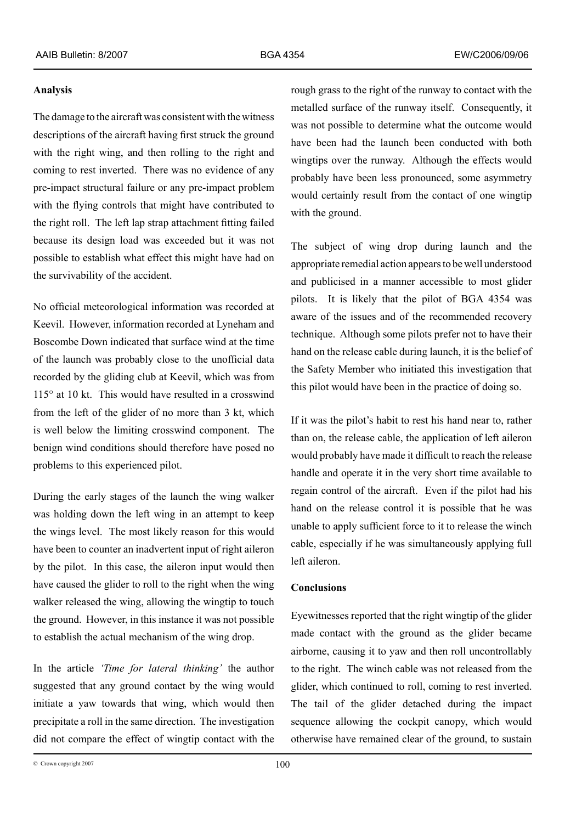#### **Analysis**

The damage to the aircraft was consistent with the witness descriptions of the aircraft having first struck the ground with the right wing, and then rolling to the right and coming to rest inverted. There was no evidence of any pre-impact structural failure or any pre-impact problem with the flying controls that might have contributed to the right roll. The left lap strap attachment fitting failed because its design load was exceeded but it was not possible to establish what effect this might have had on the survivability of the accident.

No official meteorological information was recorded at Keevil. However, information recorded at Lyneham and Boscombe Down indicated that surface wind at the time of the launch was probably close to the unofficial data recorded by the gliding club at Keevil, which was from 115° at 10 kt. This would have resulted in a crosswind from the left of the glider of no more than 3 kt, which is well below the limiting crosswind component. The benign wind conditions should therefore have posed no problems to this experienced pilot.

During the early stages of the launch the wing walker was holding down the left wing in an attempt to keep the wings level. The most likely reason for this would have been to counter an inadvertent input of right aileron by the pilot. In this case, the aileron input would then have caused the glider to roll to the right when the wing walker released the wing, allowing the wingtip to touch the ground. However, in this instance it was not possible to establish the actual mechanism of the wing drop.

In the article *'Time for lateral thinking'* the author suggested that any ground contact by the wing would initiate a yaw towards that wing, which would then precipitate a roll in the same direction. The investigation did not compare the effect of wingtip contact with the

rough grass to the right of the runway to contact with the metalled surface of the runway itself. Consequently, it was not possible to determine what the outcome would have been had the launch been conducted with both wingtips over the runway. Although the effects would probably have been less pronounced, some asymmetry would certainly result from the contact of one wingtip with the ground.

The subject of wing drop during launch and the appropriate remedial action appears to be well understood and publicised in a manner accessible to most glider pilots. It is likely that the pilot of BGA 4354 was aware of the issues and of the recommended recovery technique. Although some pilots prefer not to have their hand on the release cable during launch, it is the belief of the Safety Member who initiated this investigation that this pilot would have been in the practice of doing so.

If it was the pilot's habit to rest his hand near to, rather than on, the release cable, the application of left aileron would probably have made it difficult to reach the release handle and operate it in the very short time available to regain control of the aircraft. Even if the pilot had his hand on the release control it is possible that he was unable to apply sufficient force to it to release the winch cable, especially if he was simultaneously applying full left aileron.

# **Conclusions**

Eyewitnesses reported that the right wingtip of the glider made contact with the ground as the glider became airborne, causing it to yaw and then roll uncontrollably to the right. The winch cable was not released from the glider, which continued to roll, coming to rest inverted. The tail of the glider detached during the impact sequence allowing the cockpit canopy, which would otherwise have remained clear of the ground, to sustain